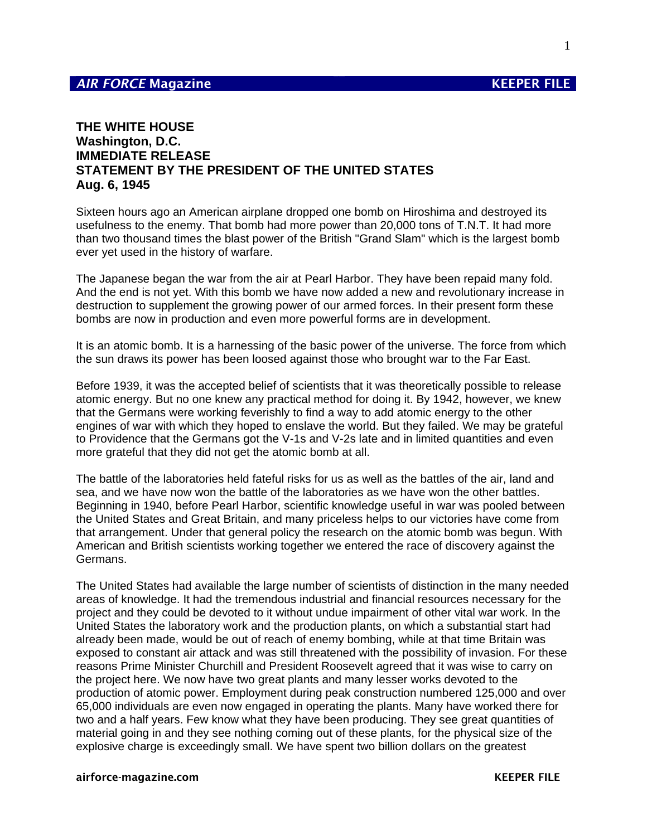## **THE WHITE HOUSE Washington, D.C. IMMEDIATE RELEASE STATEMENT BY THE PRESIDENT OF THE UNITED STATES Aug. 6, 1945**

Sixteen hours ago an American airplane dropped one bomb on Hiroshima and destroyed its usefulness to the enemy. That bomb had more power than 20,000 tons of T.N.T. It had more than two thousand times the blast power of the British "Grand Slam" which is the largest bomb ever yet used in the history of warfare.

The Japanese began the war from the air at Pearl Harbor. They have been repaid many fold. And the end is not yet. With this bomb we have now added a new and revolutionary increase in destruction to supplement the growing power of our armed forces. In their present form these bombs are now in production and even more powerful forms are in development.

It is an atomic bomb. It is a harnessing of the basic power of the universe. The force from which the sun draws its power has been loosed against those who brought war to the Far East.

Before 1939, it was the accepted belief of scientists that it was theoretically possible to release atomic energy. But no one knew any practical method for doing it. By 1942, however, we knew that the Germans were working feverishly to find a way to add atomic energy to the other engines of war with which they hoped to enslave the world. But they failed. We may be grateful to Providence that the Germans got the V-1s and V-2s late and in limited quantities and even more grateful that they did not get the atomic bomb at all.

The battle of the laboratories held fateful risks for us as well as the battles of the air, land and sea, and we have now won the battle of the laboratories as we have won the other battles. Beginning in 1940, before Pearl Harbor, scientific knowledge useful in war was pooled between the United States and Great Britain, and many priceless helps to our victories have come from that arrangement. Under that general policy the research on the atomic bomb was begun. With American and British scientists working together we entered the race of discovery against the Germans.

The United States had available the large number of scientists of distinction in the many needed areas of knowledge. It had the tremendous industrial and financial resources necessary for the project and they could be devoted to it without undue impairment of other vital war work. In the United States the laboratory work and the production plants, on which a substantial start had already been made, would be out of reach of enemy bombing, while at that time Britain was exposed to constant air attack and was still threatened with the possibility of invasion. For these reasons Prime Minister Churchill and President Roosevelt agreed that it was wise to carry on the project here. We now have two great plants and many lesser works devoted to the production of atomic power. Employment during peak construction numbered 125,000 and over 65,000 individuals are even now engaged in operating the plants. Many have worked there for two and a half years. Few know what they have been producing. They see great quantities of material going in and they see nothing coming out of these plants, for the physical size of the explosive charge is exceedingly small. We have spent two billion dollars on the greatest

## airforce-magazine.com KEEPER FILE